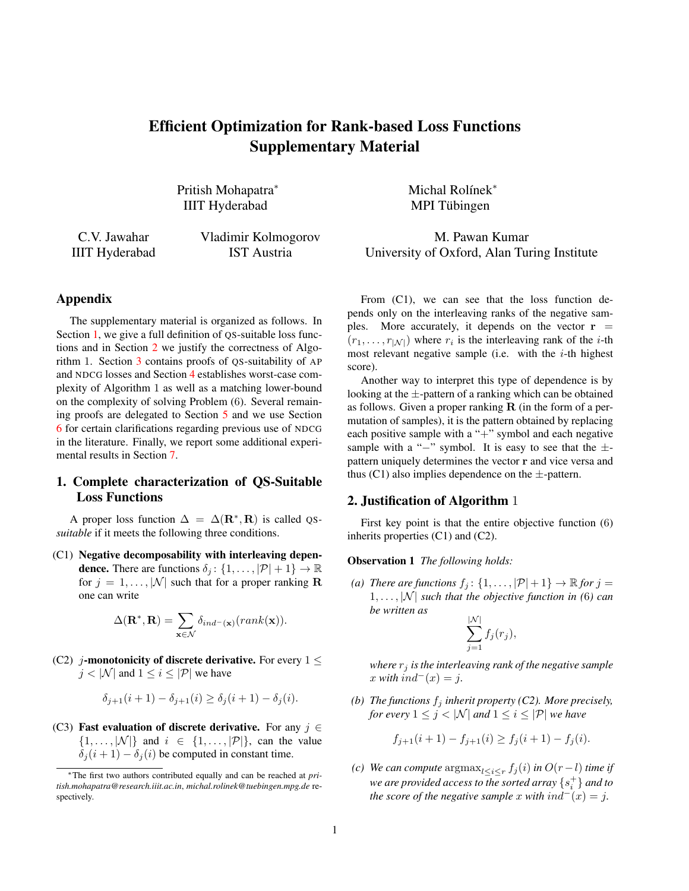# Efficient Optimization for Rank-based Loss Functions Supplementary Material

Pritish Mohapatra<sup>\*</sup> Michal Rolínek<sup>\*</sup> IIIT Hyderabad MPI Tubingen ¨

C.V. Jawahar Vladimir Kolmogorov M. Pawan Kumar IIIT Hyderabad IST Austria University of Oxford, Alan Turing Institute

### Appendix

The supplementary material is organized as follows. In Section [1,](#page-0-0) we give a full definition of QS-suitable loss functions and in Section [2](#page-0-1) we justify the correctness of Algorithm 1. Section [3](#page-1-0) contains proofs of QS-suitability of AP and NDCG losses and Section [4](#page-1-1) establishes worst-case complexity of Algorithm 1 as well as a matching lower-bound on the complexity of solving Problem (6). Several remaining proofs are delegated to Section [5](#page-2-0) and we use Section [6](#page-3-0) for certain clarifications regarding previous use of NDCG in the literature. Finally, we report some additional experimental results in Section [7.](#page-3-1)

# <span id="page-0-0"></span>1. Complete characterization of QS-Suitable Loss Functions

A proper loss function  $\Delta = \Delta(\mathbf{R}^*, \mathbf{R})$  is called QS*suitable* if it meets the following three conditions.

(C1) Negative decomposability with interleaving depen**dence.** There are functions  $\delta_i$ :  $\{1, \ldots, |\mathcal{P}| + 1\} \rightarrow \mathbb{R}$ for  $j = 1, ..., |\mathcal{N}|$  such that for a proper ranking **R** one can write

$$
\Delta(\mathbf{R}^*, \mathbf{R}) = \sum_{\mathbf{x} \in \mathcal{N}} \delta_{ind^{-}(\mathbf{x})}(rank(\mathbf{x})).
$$

(C2) j-monotonicity of discrete derivative. For every  $1 \leq$  $j < |\mathcal{N}|$  and  $1 \leq i \leq |\mathcal{P}|$  we have

$$
\delta_{j+1}(i+1) - \delta_{j+1}(i) \ge \delta_j(i+1) - \delta_j(i).
$$

(C3) Fast evaluation of discrete derivative. For any  $j \in$  $\{1, \ldots, |\mathcal{N}|\}\$  and  $i \in \{1, \ldots, |\mathcal{P}|\}\$ , can the value  $\delta_j(i+1) - \delta_j(i)$  be computed in constant time.

From  $(C1)$ , we can see that the loss function depends only on the interleaving ranks of the negative samples. More accurately, it depends on the vector  $r =$  $(r_1, \ldots, r_{|\mathcal{N}|})$  where  $r_i$  is the interleaving rank of the *i*-th most relevant negative sample (i.e. with the  $i$ -th highest score).

Another way to interpret this type of dependence is by looking at the  $\pm$ -pattern of a ranking which can be obtained as follows. Given a proper ranking  $R$  (in the form of a permutation of samples), it is the pattern obtained by replacing each positive sample with a "+" symbol and each negative sample with a "−" symbol. It is easy to see that the  $\pm$ pattern uniquely determines the vector r and vice versa and thus (C1) also implies dependence on the  $\pm$ -pattern.

## <span id="page-0-1"></span>2. Justification of Algorithm 1

First key point is that the entire objective function (6) inherits properties (C1) and (C2).

<span id="page-0-2"></span>Observation 1 *The following holds:*

*(a) There are functions*  $f_j$ :  $\{1, \ldots, |\mathcal{P}| + 1\} \rightarrow \mathbb{R}$  *for*  $j =$  $1, \ldots, |\mathcal{N}|$  *such that the objective function in (6) can be written as*

$$
\sum_{j=1}^{\vert \mathcal{N} \vert} f_j(r_j),
$$

*where*  $r_j$  *is the interleaving rank of the negative sample*  $x$  *with*  $ind^-(x) = j$ .

*(b) The functions*  $f_i$  *inherit property (C2). More precisely, for every*  $1 \leq j < |\mathcal{N}|$  *and*  $1 \leq i \leq |\mathcal{P}|$  *we have* 

$$
f_{j+1}(i+1) - f_{j+1}(i) \ge f_j(i+1) - f_j(i).
$$

*(c) We can compute*  $\arg \max_{l \leq i \leq r} f_j(i)$  *in*  $O(r - l)$  *time if we are provided access to the sorted array* {s + i } *and to the score of the negative sample* x *with*  $ind^-(x) = j$ .

<sup>∗</sup>The first two authors contributed equally and can be reached at *pritish.mohapatra@research.iiit.ac.in*, *michal.rolinek@tuebingen.mpg.de* respectively.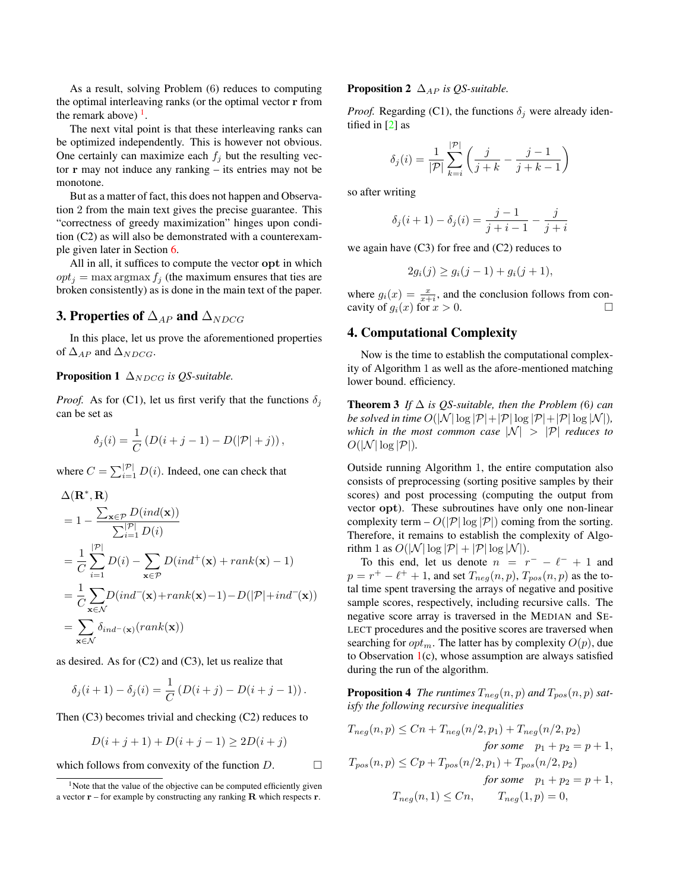<span id="page-1-3"></span>As a result, solving Problem (6) reduces to computing the optimal interleaving ranks (or the optimal vector r from the remark above)  $<sup>1</sup>$  $<sup>1</sup>$  $<sup>1</sup>$ .</sup>

The next vital point is that these interleaving ranks can be optimized independently. This is however not obvious. One certainly can maximize each  $f_i$  but the resulting vector r may not induce any ranking – its entries may not be monotone.

But as a matter of fact, this does not happen and Observation 2 from the main text gives the precise guarantee. This "correctness of greedy maximization" hinges upon condition (C2) as will also be demonstrated with a counterexample given later in Section [6.](#page-3-0)

All in all, it suffices to compute the vector opt in which  $opt_i = \max \arg \max f_i$  (the maximum ensures that ties are broken consistently) as is done in the main text of the paper.

# <span id="page-1-0"></span>**3. Properties of**  $\Delta_{AP}$  and  $\Delta_{NDCG}$

In this place, let us prove the aforementioned properties of  $\Delta_{AP}$  and  $\Delta_{NDCG}$ .

#### **Proposition 1**  $\Delta_{NDCG}$  *is QS-suitable.*

*Proof.* As for (C1), let us first verify that the functions  $\delta_i$ can be set as

$$
\delta_j(i) = \frac{1}{C} \left( D(i+j-1) - D(|\mathcal{P}|+j) \right),\,
$$

where  $C = \sum_{i=1}^{\left|\mathcal{P}\right|} D(i)$ . Indeed, one can check that

$$
\Delta(\mathbf{R}^*, \mathbf{R})
$$
\n
$$
= 1 - \frac{\sum_{\mathbf{x} \in \mathcal{P}} D(ind(\mathbf{x}))}{\sum_{i=1}^{|\mathcal{P}|} D(i)}
$$
\n
$$
= \frac{1}{C} \sum_{i=1}^{|\mathcal{P}|} D(i) - \sum_{\mathbf{x} \in \mathcal{P}} D(ind^+(\mathbf{x}) + rank(\mathbf{x}) - 1)
$$
\n
$$
= \frac{1}{C} \sum_{\mathbf{x} \in \mathcal{N}} D(ind^-(\mathbf{x}) + rank(\mathbf{x}) - 1) - D(|\mathcal{P}| + ind^-(\mathbf{x}))
$$
\n
$$
= \sum_{\mathbf{x} \in \mathcal{N}} \delta_{ind^-(\mathbf{x})}(rank(\mathbf{x}))
$$

as desired. As for (C2) and (C3), let us realize that

$$
\delta_j(i+1) - \delta_j(i) = \frac{1}{C} (D(i+j) - D(i+j-1)).
$$

Then (C3) becomes trivial and checking (C2) reduces to

$$
D(i + j + 1) + D(i + j - 1) \ge 2D(i + j)
$$

which follows from convexity of the function  $D$ .  $\Box$ 

#### **Proposition 2**  $\Delta_{AP}$  *is QS-suitable.*

*Proof.* Regarding (C1), the functions  $\delta_i$  were already identified in [\[2\]](#page-4-0) as

$$
\delta_j(i) = \frac{1}{|\mathcal{P}|} \sum_{k=i}^{|\mathcal{P}|} \left( \frac{j}{j+k} - \frac{j-1}{j+k-1} \right)
$$

so after writing

$$
\delta_j(i + 1) - \delta_j(i) = \frac{j - 1}{j + i - 1} - \frac{j}{j + i}
$$

we again have  $(C3)$  for free and  $(C2)$  reduces to

$$
2g_i(j) \ge g_i(j-1) + g_i(j+1),
$$

where  $g_i(x) = \frac{x}{x+i}$ , and the conclusion follows from concavity of  $g_i(x)$  for  $x > 0$ .

## <span id="page-1-1"></span>4. Computational Complexity

Now is the time to establish the computational complexity of Algorithm 1 as well as the afore-mentioned matching lower bound. efficiency.

**Theorem 3** *If*  $\Delta$  *is QS-suitable, then the Problem (6) can be solved in time*  $O(|\mathcal{N}| \log |\mathcal{P}| + |\mathcal{P}| \log |\mathcal{P}| + |\mathcal{P}| \log |\mathcal{N}|)$ , *which in the most common case*  $|N| > |P|$  *reduces to*  $O(|\mathcal{N}| \log |\mathcal{P}|)$ .

Outside running Algorithm 1, the entire computation also consists of preprocessing (sorting positive samples by their scores) and post processing (computing the output from vector opt). These subroutines have only one non-linear complexity term  $- O(|\mathcal{P}| \log |\mathcal{P}|)$  coming from the sorting. Therefore, it remains to establish the complexity of Algorithm 1 as  $O(|\mathcal{N}| \log |\mathcal{P}| + |\mathcal{P}| \log |\mathcal{N}|)$ .

To this end, let us denote  $n = r^- - \ell^- + 1$  and  $p = r^+ - \ell^+ + 1$ , and set  $T_{neg}(n, p)$ ,  $T_{pos}(n, p)$  as the total time spent traversing the arrays of negative and positive sample scores, respectively, including recursive calls. The negative score array is traversed in the MEDIAN and SE-LECT procedures and the positive scores are traversed when searching for  $opt_m$ . The latter has by complexity  $O(p)$ , due to Observation  $1(c)$  $1(c)$ , whose assumption are always satisfied during the run of the algorithm.

**Proposition 4** The runtimes  $T_{neg}(n, p)$  and  $T_{pos}(n, p)$  sat*isfy the following recursive inequalities*

$$
T_{neg}(n, p) \le Cn + T_{neg}(n/2, p_1) + T_{neg}(n/2, p_2)
$$
  
for some  $p_1 + p_2 = p + 1$ ,  

$$
T_{pos}(n, p) \le Cp + T_{pos}(n/2, p_1) + T_{pos}(n/2, p_2)
$$
  
for some  $p_1 + p_2 = p + 1$ ,  

$$
T_{neg}(n, 1) \le Cn, \qquad T_{neg}(1, p) = 0,
$$

<span id="page-1-2"></span><sup>&</sup>lt;sup>1</sup>Note that the value of the objective can be computed efficiently given a vector  $\mathbf{r}$  – for example by constructing any ranking  $\mathbf{R}$  which respects  $\mathbf{r}$ .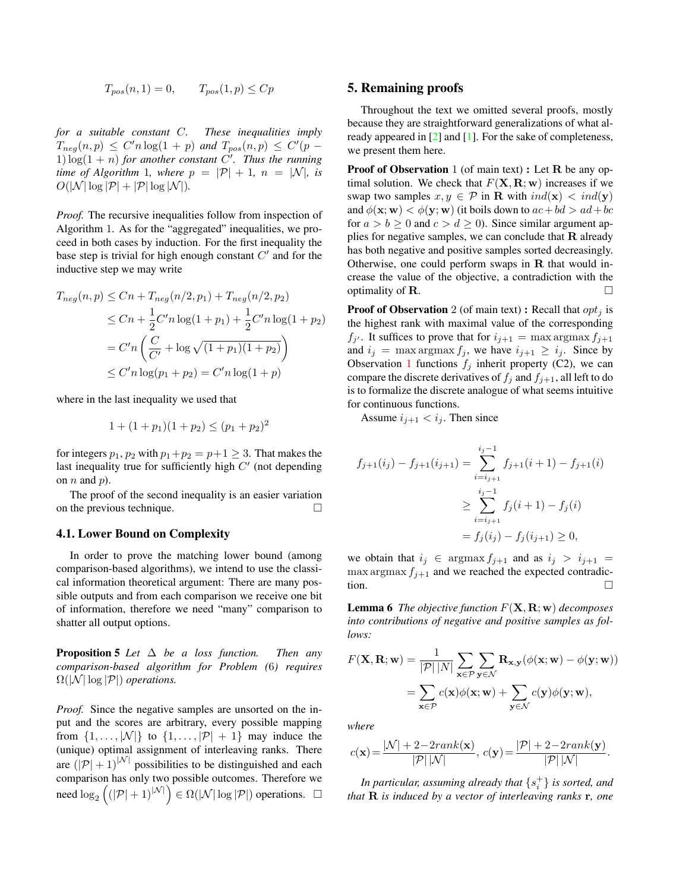$$
T_{pos}(n,1) = 0, \qquad T_{pos}(1,p) \le Cp
$$

<span id="page-2-2"></span>*for a suitable constant* C*. These inequalities imply*  $T_{neg}(n,p) \leq C'n \log(1+p)$  and  $T_{pos}(n,p) \leq C'(p-p)$ 1)  $\log(1 + n)$  *for another constant*  $\overrightarrow{C'}$ *. Thus the running time of Algorithm* 1*, where*  $p = |\mathcal{P}| + 1$ *,*  $n = |\mathcal{N}|$ *, is*  $O(|\mathcal{N}| \log |\mathcal{P}| + |\mathcal{P}| \log |\mathcal{N}|).$ 

*Proof.* The recursive inequalities follow from inspection of Algorithm 1. As for the "aggregated" inequalities, we proceed in both cases by induction. For the first inequality the base step is trivial for high enough constant  $C'$  and for the inductive step we may write

$$
T_{neg}(n, p) \le Cn + T_{neg}(n/2, p_1) + T_{neg}(n/2, p_2)
$$
  
\n
$$
\le Cn + \frac{1}{2}C'n \log(1 + p_1) + \frac{1}{2}C'n \log(1 + p_2)
$$
  
\n
$$
= C'n \left(\frac{C}{C'} + \log \sqrt{(1 + p_1)(1 + p_2)}\right)
$$
  
\n
$$
\le C'n \log(p_1 + p_2) = C'n \log(1 + p)
$$

where in the last inequality we used that

$$
1 + (1 + p_1)(1 + p_2) \le (p_1 + p_2)^2
$$

for integers  $p_1$ ,  $p_2$  with  $p_1+p_2 = p+1 \geq 3$ . That makes the last inequality true for sufficiently high  $C'$  (not depending on  $n$  and  $p$ ).

The proof of the second inequality is an easier variation on the previous technique.

#### 4.1. Lower Bound on Complexity

In order to prove the matching lower bound (among comparison-based algorithms), we intend to use the classical information theoretical argument: There are many possible outputs and from each comparison we receive one bit of information, therefore we need "many" comparison to shatter all output options.

Proposition 5 *Let* ∆ *be a loss function. Then any comparison-based algorithm for Problem (*6*) requires*  $\Omega(|\mathcal{N}| \log |\mathcal{P}|)$  *operations.* 

*Proof.* Since the negative samples are unsorted on the input and the scores are arbitrary, every possible mapping from  $\{1, \ldots, |\mathcal{N}|\}$  to  $\{1, \ldots, |\mathcal{P}| + 1\}$  may induce the (unique) optimal assignment of interleaving ranks. There are  $(|\mathcal{P}| + 1)^{|\mathcal{N}|}$  possibilities to be distinguished and each comparison has only two possible outcomes. Therefore we need  $\log_2((|\mathcal{P}| + 1)^{|\mathcal{N}|}) \in \Omega(|\mathcal{N}| \log |\mathcal{P}|)$  operations.  $\Box$ 

### <span id="page-2-0"></span>5. Remaining proofs

Throughout the text we omitted several proofs, mostly because they are straightforward generalizations of what already appeared in [\[2\]](#page-4-0) and [\[1\]](#page-4-1). For the sake of completeness, we present them here.

**Proof of Observation** 1 (of main text) : Let  $R$  be any optimal solution. We check that  $F(\mathbf{X}, \mathbf{R}; \mathbf{w})$  increases if we swap two samples  $x, y \in \mathcal{P}$  in **R** with  $ind(\mathbf{x}) < ind(\mathbf{y})$ and  $\phi(\mathbf{x}; \mathbf{w}) < \phi(\mathbf{y}; \mathbf{w})$  (it boils down to  $ac + bd > ad + bc$ for  $a > b \ge 0$  and  $c > d \ge 0$ ). Since similar argument applies for negative samples, we can conclude that  $\bf R$  already has both negative and positive samples sorted decreasingly. Otherwise, one could perform swaps in  $R$  that would increase the value of the objective, a contradiction with the optimality of  $\bf{R}$ .

**Proof of Observation** 2 (of main text): Recall that  $opt_i$  is the highest rank with maximal value of the corresponding  $f_{j'}$ . It suffices to prove that for  $i_{j+1} = \max \operatorname{argmax} f_{j+1}$ and  $i_j = \max \arg \max f_j$ , we have  $i_{j+1} \geq i_j$ . Since by Observation [1](#page-0-2) functions  $f_i$  inherit property (C2), we can compare the discrete derivatives of  $f_i$  and  $f_{i+1}$ , all left to do is to formalize the discrete analogue of what seems intuitive for continuous functions.

Assume  $i_{i+1} < i_i$ . Then since

$$
f_{j+1}(i_j) - f_{j+1}(i_{j+1}) = \sum_{i=i_{j+1}}^{i_j-1} f_{j+1}(i+1) - f_{j+1}(i)
$$
  

$$
\geq \sum_{i=i_{j+1}}^{i_j-1} f_j(i+1) - f_j(i)
$$
  

$$
= f_j(i_j) - f_j(i_{j+1}) \geq 0,
$$

we obtain that  $i_j \in \text{argmax } f_{j+1}$  and as  $i_j > i_{j+1}$  $\max \arg \max f_{j+1}$  and we reached the expected contradiction.  $\Box$ 

<span id="page-2-1"></span>Lemma 6 *The objective function* F(X, R; w) *decomposes into contributions of negative and positive samples as follows:*

$$
F(\mathbf{X}, \mathbf{R}; \mathbf{w}) = \frac{1}{|\mathcal{P}| |N|} \sum_{\mathbf{x} \in \mathcal{P}} \sum_{\mathbf{y} \in \mathcal{N}} \mathbf{R}_{\mathbf{x}, \mathbf{y}} (\phi(\mathbf{x}; \mathbf{w}) - \phi(\mathbf{y}; \mathbf{w}))
$$
  
= 
$$
\sum_{\mathbf{x} \in \mathcal{P}} c(\mathbf{x}) \phi(\mathbf{x}; \mathbf{w}) + \sum_{\mathbf{y} \in \mathcal{N}} c(\mathbf{y}) \phi(\mathbf{y}; \mathbf{w}),
$$

*where*

$$
c(\mathbf{x}) = \frac{|\mathcal{N}| + 2 - 2rank(\mathbf{x})}{|\mathcal{P}| |\mathcal{N}|}, \ c(\mathbf{y}) = \frac{|\mathcal{P}| + 2 - 2rank(\mathbf{y})}{|\mathcal{P}| |\mathcal{N}|}.
$$

In particular, assuming already that  $\{s_i^+\}$  is sorted, and *that* R *is induced by a vector of interleaving ranks* r*, one*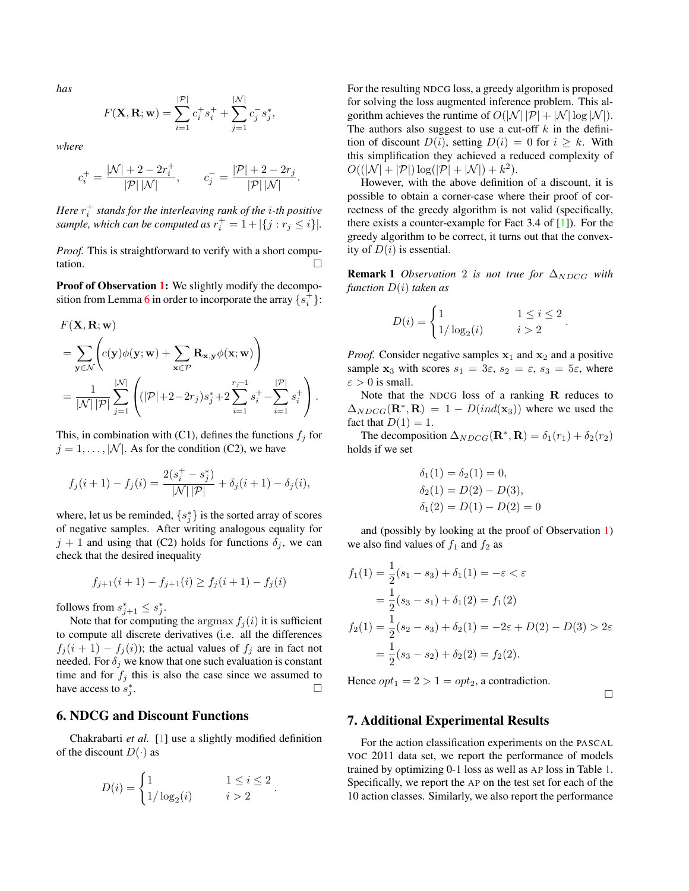<span id="page-3-2"></span>*has*

$$
F(\mathbf{X}, \mathbf{R}; \mathbf{w}) = \sum_{i=1}^{|\mathcal{P}|} c_i^+ s_i^+ + \sum_{j=1}^{|\mathcal{N}|} c_j^- s_j^*,
$$

*where*

$$
c_i^+ = \frac{|\mathcal{N}| + 2 - 2r_i^+}{|\mathcal{P}| |\mathcal{N}|},
$$
  $c_j^- = \frac{|\mathcal{P}| + 2 - 2r_j}{|\mathcal{P}| |\mathcal{N}|}.$ 

*Here* r + i *stands for the interleaving rank of the* i*-th positive* sample, which can be computed as  $r_i^+ = 1 + |\{j : r_j \leq i\}|$ .

*Proof.* This is straightforward to verify with a short computation.

Proof of Observation [1:](#page-0-2) We slightly modify the decompo-sition from Lemma [6](#page-2-1) in order to incorporate the array  $\{s_i^+\}$ :

$$
F(\mathbf{X}, \mathbf{R}; \mathbf{w})
$$
  
=  $\sum_{\mathbf{y} \in \mathcal{N}} \left( c(\mathbf{y}) \phi(\mathbf{y}; \mathbf{w}) + \sum_{\mathbf{x} \in \mathcal{P}} \mathbf{R}_{\mathbf{x}, \mathbf{y}} \phi(\mathbf{x}; \mathbf{w}) \right)$   
=  $\frac{1}{|\mathcal{N}| |\mathcal{P}|} \sum_{j=1}^{|\mathcal{N}|} \left( (|\mathcal{P}| + 2 - 2r_j) s_j^* + 2 \sum_{i=1}^{r_j - 1} s_i^+ - \sum_{i=1}^{|\mathcal{P}|} s_i^+ \right).$ 

This, in combination with (C1), defines the functions  $f_i$  for  $j = 1, \ldots, |\mathcal{N}|$ . As for the condition (C2), we have

$$
f_j(i + 1) - f_j(i) = \frac{2(s_i^+ - s_j^*)}{|\mathcal{N}| |\mathcal{P}|} + \delta_j(i + 1) - \delta_j(i),
$$

where, let us be reminded,  $\{s_j^*\}$  is the sorted array of scores of negative samples. After writing analogous equality for  $j + 1$  and using that (C2) holds for functions  $\delta_j$ , we can check that the desired inequality

$$
f_{j+1}(i+1) - f_{j+1}(i) \ge f_j(i+1) - f_j(i)
$$

follows from  $s_{j+1}^* \leq s_j^*$ .

Note that for computing the argmax  $f_i(i)$  it is sufficient to compute all discrete derivatives (i.e. all the differences  $f_j(i + 1) - f_j(i)$ ; the actual values of  $f_j$  are in fact not needed. For  $\delta_i$  we know that one such evaluation is constant time and for  $f_j$  this is also the case since we assumed to have access to  $s_j^*$ . В последните последните последните под последните и се при последните под последните последните под последни<br>В последните последните последните последните последните под последните последните последните последните после

### <span id="page-3-0"></span>6. NDCG and Discount Functions

Chakrabarti *et al.* [\[1\]](#page-4-1) use a slightly modified definition of the discount  $D(\cdot)$  as

$$
D(i) = \begin{cases} 1 & 1 \leq i \leq 2 \\ 1/\log_2(i) & i > 2 \end{cases}.
$$

For the resulting NDCG loss, a greedy algorithm is proposed for solving the loss augmented inference problem. This algorithm achieves the runtime of  $O(|\mathcal{N}| |\mathcal{P}| + |\mathcal{N}| \log |\mathcal{N}|)$ . The authors also suggest to use a cut-off  $k$  in the definition of discount  $D(i)$ , setting  $D(i) = 0$  for  $i \geq k$ . With this simplification they achieved a reduced complexity of  $O((|\mathcal{N}| + |\mathcal{P}|) \log(|\mathcal{P}| + |\mathcal{N}|) + k^2).$ 

However, with the above definition of a discount, it is possible to obtain a corner-case where their proof of correctness of the greedy algorithm is not valid (specifically, there exists a counter-example for Fact 3.4 of [\[1\]](#page-4-1)). For the greedy algorithm to be correct, it turns out that the convexity of  $D(i)$  is essential.

**Remark 1** *Observation* 2 *is not true for*  $\Delta_{NDCG}$  *with function* D(i) *taken as*

$$
D(i) = \begin{cases} 1 & 1 \le i \le 2 \\ 1/\log_2(i) & i > 2 \end{cases}.
$$

*Proof.* Consider negative samples  $x_1$  and  $x_2$  and a positive sample  $x_3$  with scores  $s_1 = 3\varepsilon$ ,  $s_2 = \varepsilon$ ,  $s_3 = 5\varepsilon$ , where  $\varepsilon > 0$  is small.

Note that the NDCG loss of a ranking R reduces to  $\Delta_{NDCG}(\mathbf{R}^*, \mathbf{R}) = 1 - D(ind(\mathbf{x}_3))$  where we used the fact that  $D(1) = 1$ .

The decomposition  $\Delta_{NDCG}(\mathbf{R}^*, \mathbf{R}) = \delta_1(r_1) + \delta_2(r_2)$ holds if we set

$$
\delta_1(1) = \delta_2(1) = 0,
$$
  
\n
$$
\delta_2(1) = D(2) - D(3),
$$
  
\n
$$
\delta_1(2) = D(1) - D(2) = 0
$$

and (possibly by looking at the proof of Observation [1\)](#page-0-2) we also find values of  $f_1$  and  $f_2$  as

$$
f_1(1) = \frac{1}{2}(s_1 - s_3) + \delta_1(1) = -\varepsilon < \varepsilon
$$
  
=  $\frac{1}{2}(s_3 - s_1) + \delta_1(2) = f_1(2)$   

$$
f_2(1) = \frac{1}{2}(s_2 - s_3) + \delta_2(1) = -2\varepsilon + D(2) - D(3) > 2\varepsilon
$$
  
=  $\frac{1}{2}(s_3 - s_2) + \delta_2(2) = f_2(2).$ 

Hence  $opt_1 = 2 > 1 = opt_2$ , a contradiction.

 $\Box$ 

#### <span id="page-3-1"></span>7. Additional Experimental Results

For the action classification experiments on the PASCAL VOC 2011 data set, we report the performance of models trained by optimizing 0-1 loss as well as AP loss in Table [1.](#page-4-2) Specifically, we report the AP on the test set for each of the 10 action classes. Similarly, we also report the performance